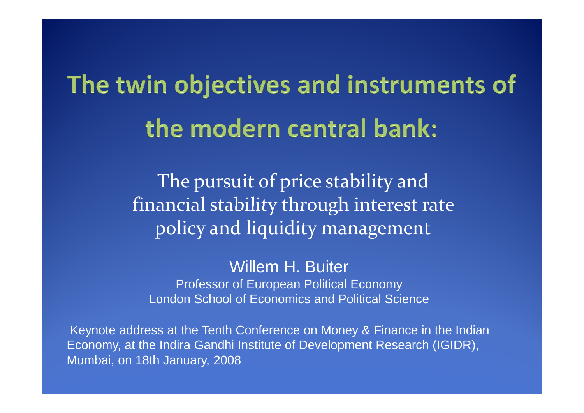# The twin objectives and instruments of the modern central bank:

The pursuit of price stability and financial stability through interest rate policy and liquidity management

Willem H. Buiter Professor of European Political EconomyLondon School of Economics and Political Science

Keynote address at the Tenth Conference on Money & Finance in the Indian Economy, at the Indira Gandhi Institute of Development Research (IGIDR), Mumbai, on 18th January, 2008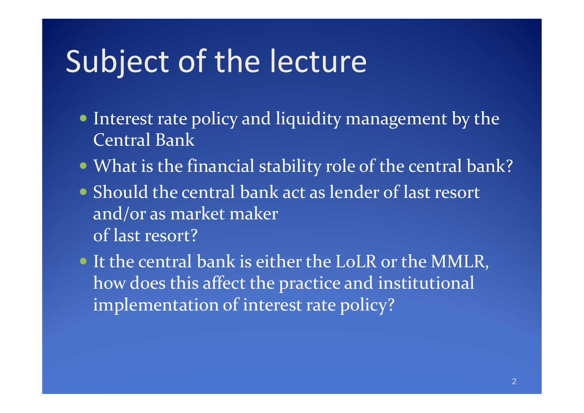## Subject of the lecture

- Interest rate policy and liquidity management by the Central Bank
- What is the financial stability role of the central bank?
- Should the central bank act as lender of last resort and/or as market makerof last resort?
- It the central bank is either the LoLR or the MMLR, how does this affect the practice and institutionalimplementation of interest rate policy?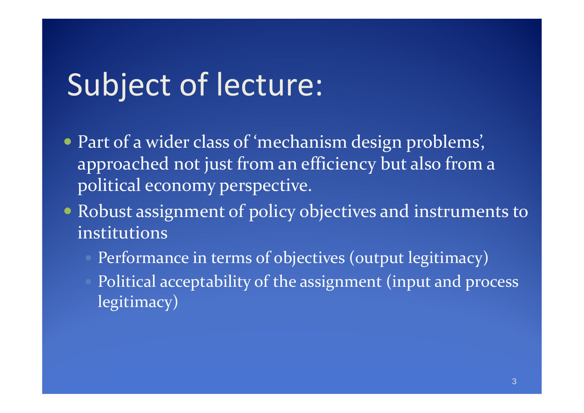# Subject of lecture:

- Part of a wider class of 'mechanism design problems', approached not just from an efficiency but also from a political economy perspective.
- Robust assignment of policy objectives and instruments to institutions
	- Performance in terms of objectives (output legitimacy)
	- Political acceptability of the assignment (input and process legitimacy)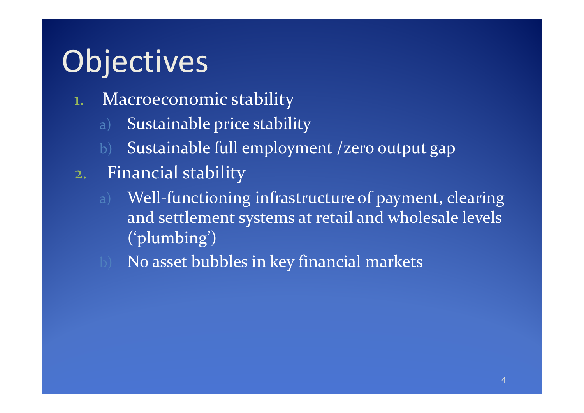# **Objectives**

- 1. Macroeconomic stability
	- a)Sustainable price stability
	- b)Sustainable full employment /zero output gap
- 2. Financial stability
	- a) Well-functioning infrastructure of payment, clearing and settlement systems at retail and wholesale levels ('plumbing')
	- No asset bubbles in key financial markets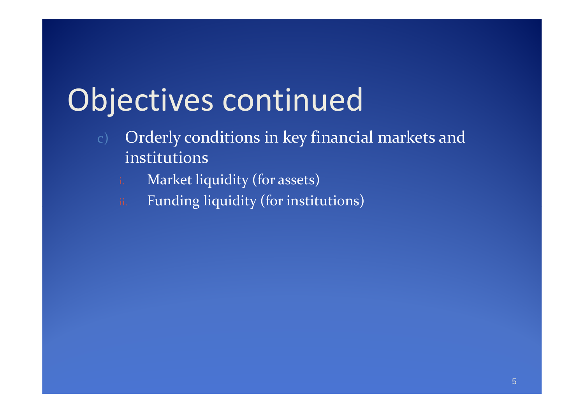# Objectives continued

- Orderly conditions in key financial markets and institutions
	- Market liquidity (for assets)
	- Funding liquidity (for institutions)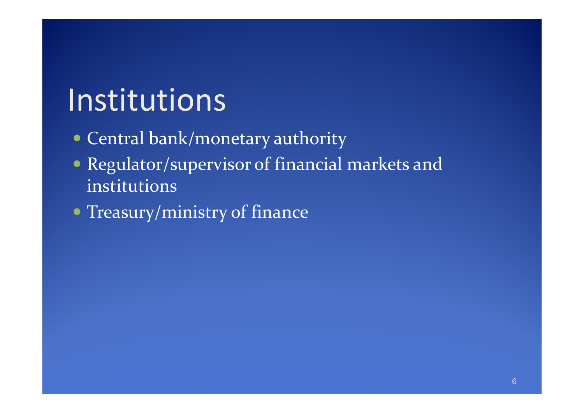# Institutions

- Central bank/monetary authority
- Regulator/supervisor of financial markets and institutions
- Treasury/ministry of finance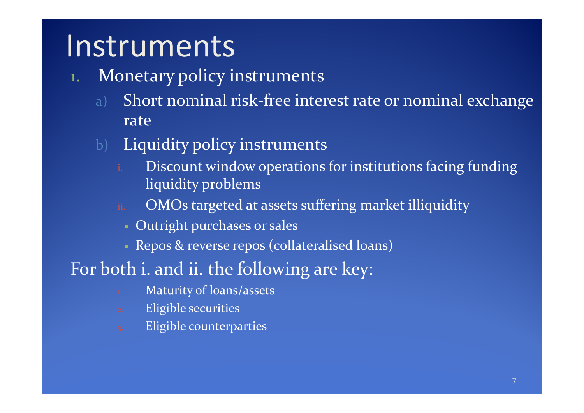## Instruments

- Monetary policy instruments1.
	- a) Short nominal risk-free interest rate or nominal exchange rate
	- b) Liquidity policy instruments
		- Discount window operations for institutions facing funding liquidity problems
		- OMOs targeted at assets suffering market illiquidity
		- Outright purchases or sales
		- $\bullet$ Repos & reverse repos (collateralised loans)

#### For both i. and ii. the following are key:

- Maturity of loans/assets
- Eligible securities
- Eligible counterparties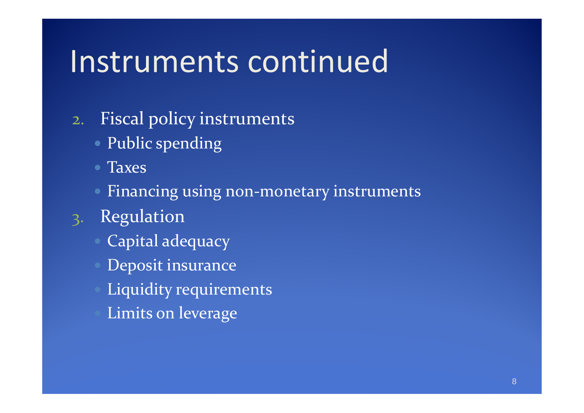### Instruments continued

- 2. Fiscal policy instruments
	- Public spending
	- Taxes
	- Financing using non-monetary instruments
- 3. Regulation
	- Capital adequacy
	- Deposit insurance
	- Liquidity requirements
	- Limits on leverage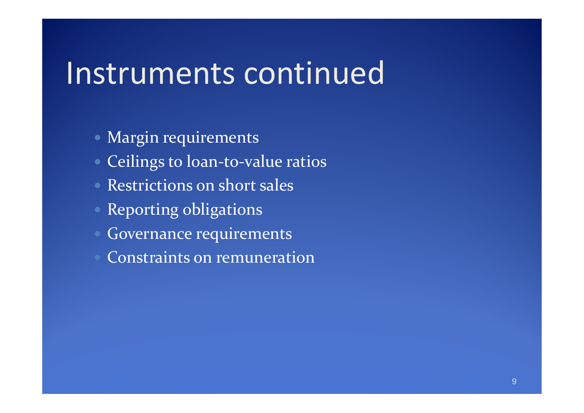## Instruments continued

- Margin requirements
- Ceilings to loan-to-value ratios
- Restrictions on short sales
- Reporting obligations
- Governance requirements
- Constraints on remuneration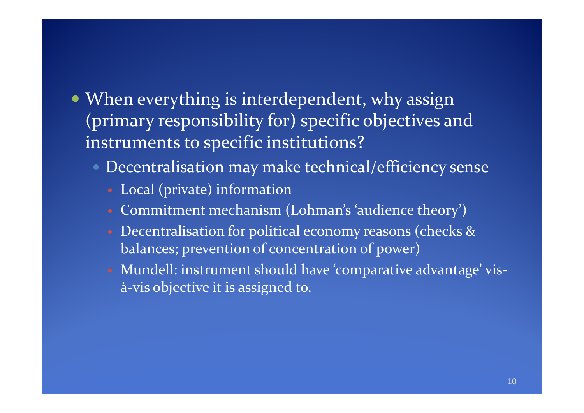- When everything is interdependent, why assign (primary responsibility for) specific objectives and instruments to specific institutions?
	- Decentralisation may make technical/efficiency sense
		- Local (private) information
		- Commitment mechanism (Lohman's 'audience theory')
		- Decentralisation for political economy reasons (checks & balances; prevention of concentration of power)
		- Mundell: instrument should have 'comparative advantage' visà-vis objective it is assigned to.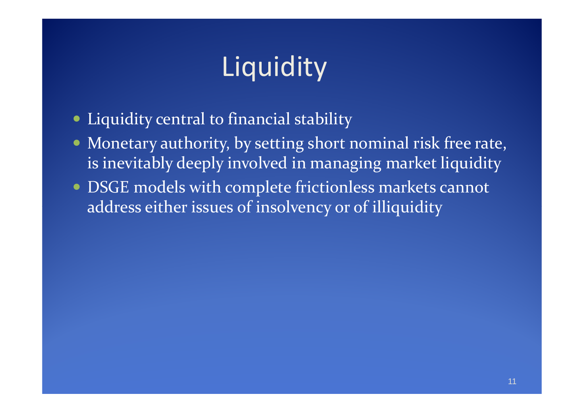## **Liquidity**

- Liquidity central to financial stability
- Monetary authority, by setting short nominal risk free rate, is inevitably deeply involved in managing market liquidity
- DSGE models with complete frictionless markets cannot address either issues of insolvency or of illiquidity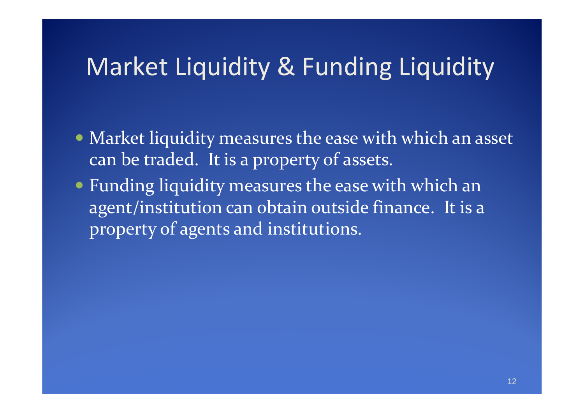### Market Liquidity & Funding Liquidity

- Market liquidity measures the ease with which an asset can be traded. It is a property of assets.
- Funding liquidity measures the ease with which an agent/institution can obtain outside finance. It is a property of agents and institutions.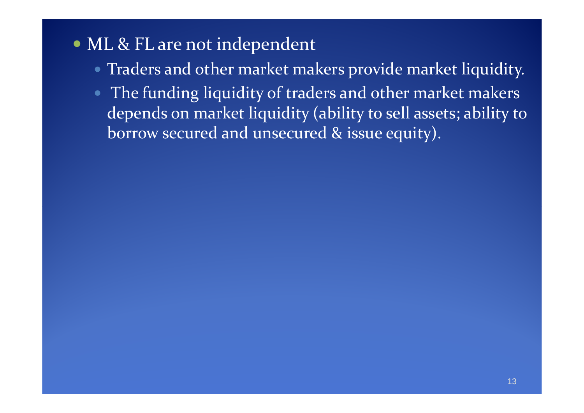### ML & FL are not independent

- Traders and other market makers provide market liquidity.
- The funding liquidity of traders and other market makers depends on market liquidity (ability to sell assets; ability to borrow secured and unsecured & issue equity).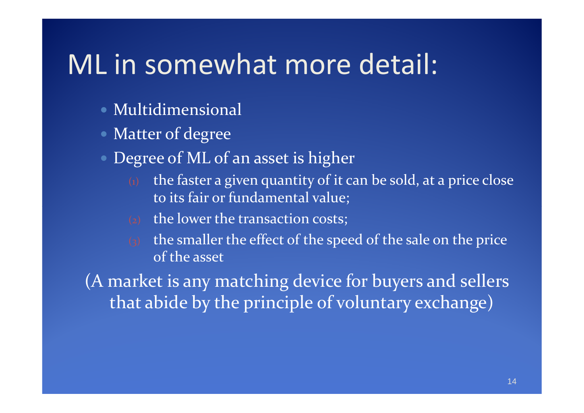### ML in somewhat more detail:

- Multidimensional
- Matter of degree
- Degree of ML of an asset is higher
	- the faster a given quantity of it can be sold, at a price close to its fair or fundamental value;
	- $\mathcal{L}_2$  the lower the transaction costs;
	- $\mathbf{g}_3$  the smaller the effect of the speed of the sale on the price of the asset

(A market is any matching device for buyers and sellers that abide by the principle of voluntary exchange)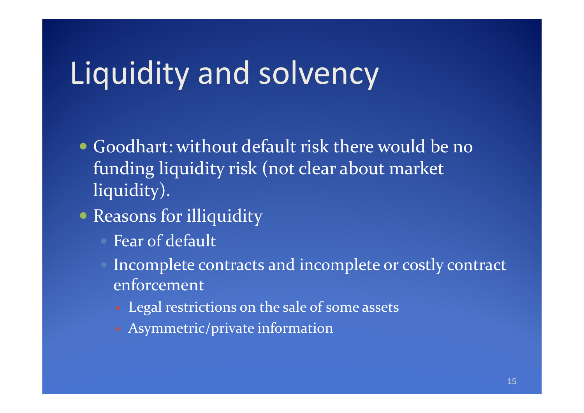## Liquidity and solvency

- Goodhart: without default risk there would be no funding liquidity risk (not clear about market liquidity).
- Reasons for illiquidity
	- Fear of default
	- Incomplete contracts and incomplete or costly contract enforcement
		- Legal restrictions on the sale of some assets
		- Asymmetric/private information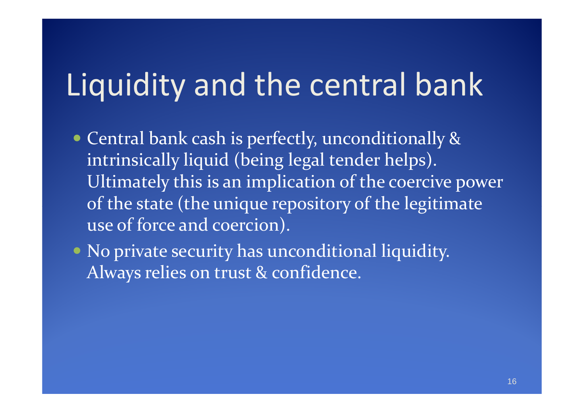# Liquidity and the central bank

- Central bank cash is perfectly, unconditionally & intrinsically liquid (being legal tender helps). Ultimately this is an implication of the coercive power of the state (the unique repository of the legitimate use of force and coercion).
- No private security has unconditional liquidity. Always relies on trust & confidence.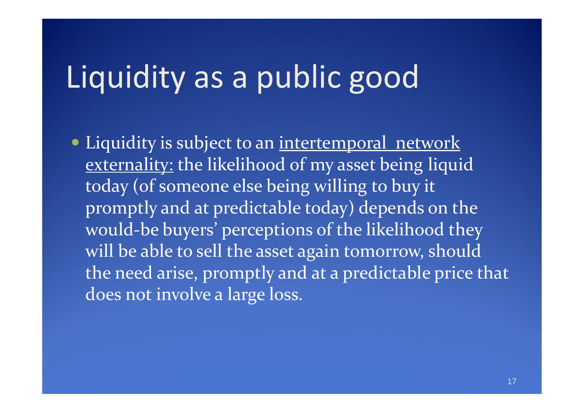# Liquidity as a public good

• Liquidity is subject to an intertemporal network externality: the likelihood of my asset being liquid today (of someone else being willing to buy it promptly and at predictable today) depends on the would-be buyers' perceptions of the likelihood they will be able to sell the asset again tomorrow, should the need arise, promptly and at a predictable price that does not involve a large loss.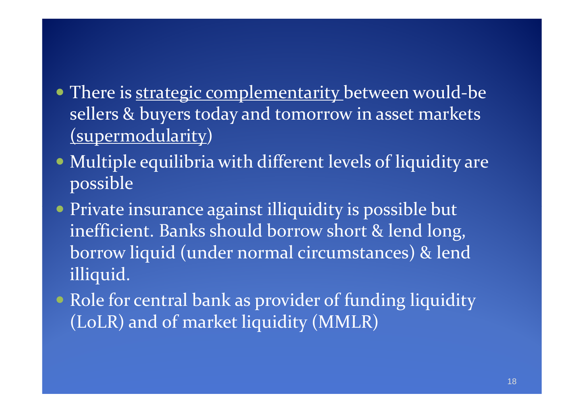- There is strategic complementarity between would-be sellers & buyers today and tomorrow in asset markets (supermodularity)
- Multiple equilibria with different levels of liquidity are possible
- Private insurance against illiquidity is possible but inefficient. Banks should borrow short & lend long,borrow liquid (under normal circumstances) & lend illiquid.
- Role for central bank as provider of funding liquidity (LoLR) and of market liquidity (MMLR)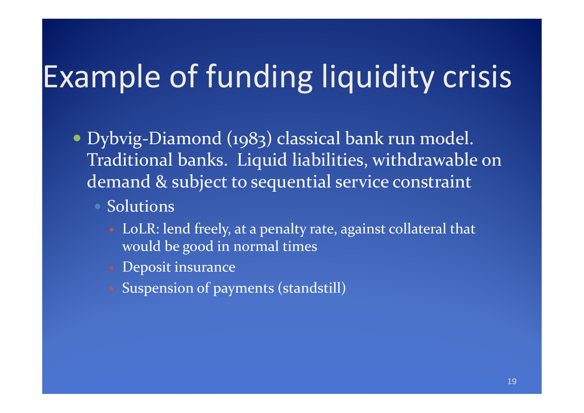# Example of funding liquidity crisis

- Dybvig-Diamond (1983) classical bank run model. Traditional banks. Liquid liabilities, withdrawable on demand & subject to sequential service constraint
	- Solutions
		- LoLR: lend freely, at a penalty rate, against collateral that would be good in normal times
		- Deposit insurance
		- Suspension of payments (standstill)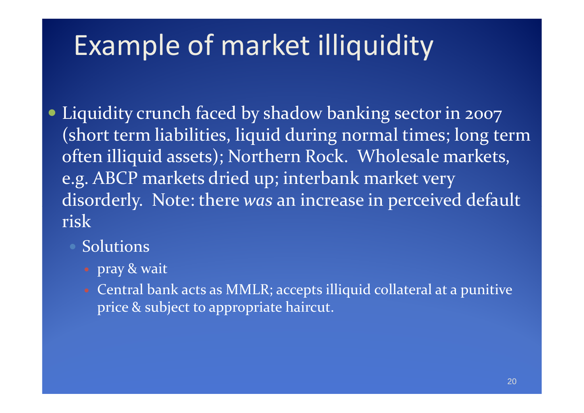## Example of market illiquidity

- Liquidity crunch faced by shadow banking sector in 2007 (short term liabilities, liquid during normal times; long term often illiquid assets); Northern Rock. Wholesale markets, e.g. ABCP markets dried up; interbank market very disorderly. Note: there *was* an increase in perceived default risk
	- Solutions
		- pray & wait
		- Central bank acts as MMLR; accepts illiquid collateral at a punitive price & subject to appropriate haircut.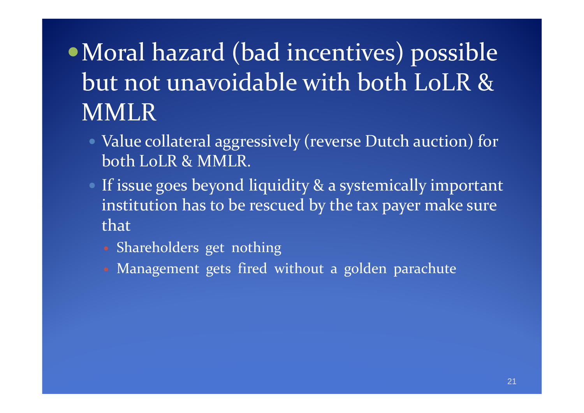### • Moral hazard (bad incentives) possible but not unavoidable with both LoLR & MMLR

- Value collateral aggressively (reverse Dutch auction) for both LoLR & MMLR.
- If issue goes beyond liquidity & a systemically important institution has to be rescued by the tax payer make sure that
	- Shareholders get nothing
	- Management gets fired without a golden parachute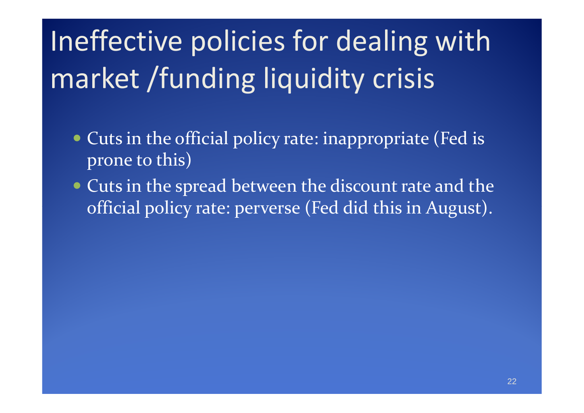# Ineffective policies for dealing with market /funding liquidity crisis

- Cuts in the official policy rate: inappropriate (Fed is prone to this)
- Cuts in the spread between the discount rate and the official policy rate: perverse (Fed did this in August).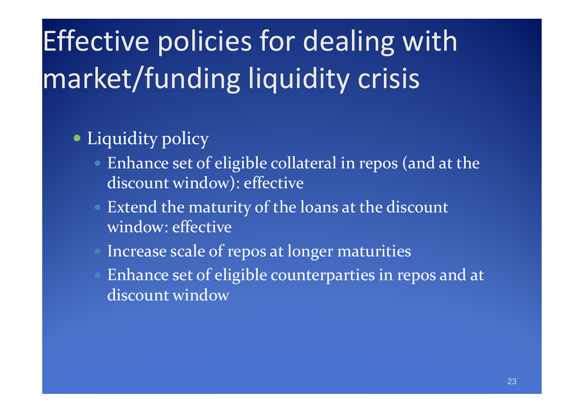# Effective policies for dealing with market/funding liquidity crisis

### Liquidity policy

- Enhance set of eligible collateral in repos (and at the discount window): effective
- $\bullet$  Extend the maturity of the loans at the discount window: effective
- Increase scale of repos at longer maturities
- Enhance set of eligible counterparties in repos and at discount window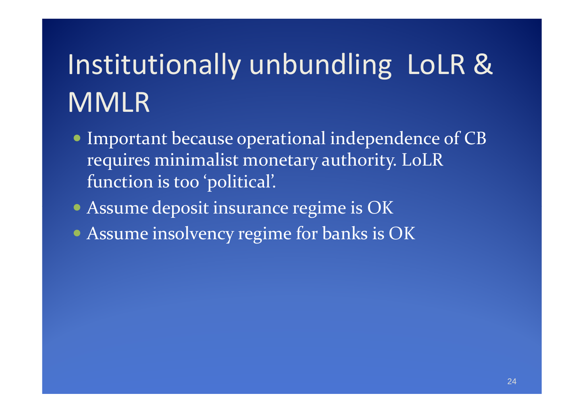# Institutionally unbundling LoLR & MMLR

- Important because operational independence of CB requires minimalist monetary authority. LoLR function is too 'political'.
- Assume deposit insurance regime is OK
- Assume insolvency regime for banks is OK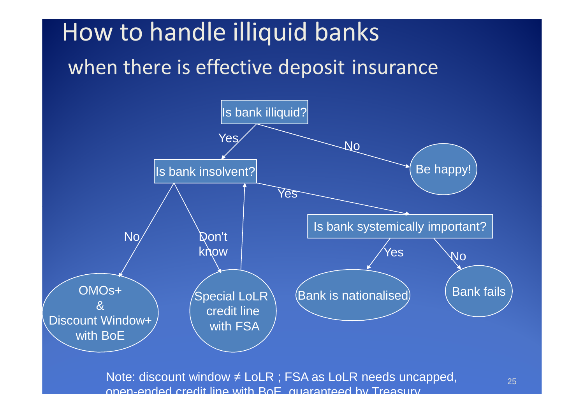### How to handle illiquid bankswhen there is effective deposit insurance



Note: discount window ≠ LoLR ; FSA as LoLR needs uncapped, open-ended credit line with BoE, guaranteed by Treasury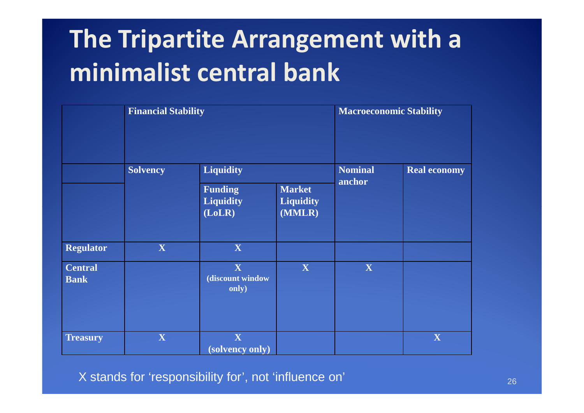## **The Tripartite Arrangement with a minimalist central bank**

|                               | <b>Financial Stability</b> |                                              |                                             | Macroeconomic Stability  |                     |
|-------------------------------|----------------------------|----------------------------------------------|---------------------------------------------|--------------------------|---------------------|
|                               | <b>Solvency</b>            | <b>Liquidity</b>                             |                                             | <b>Nominal</b><br>anchor | <b>Real economy</b> |
|                               |                            | <b>Funding</b><br><b>Liquidity</b><br>(LoLR) | <b>Market</b><br><b>Liquidity</b><br>(MMLR) |                          |                     |
| <b>Regulator</b>              | X                          | X                                            |                                             |                          |                     |
| <b>Central</b><br><b>Bank</b> |                            | X<br>(discount window<br>only)               | X                                           | X                        |                     |
| <b>Treasury</b>               | X                          | X<br>(solvency only)                         |                                             |                          | X                   |

X stands for 'responsibility for', not 'influence on'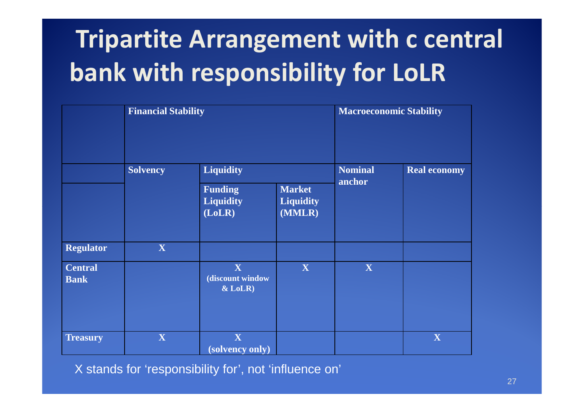## **Tripartite Arrangement with c central bank with responsibility for LoLR**

|                               | <b>Financial Stability</b> |                                                                  |                                             | <b>Macroeconomic Stability</b> |                     |
|-------------------------------|----------------------------|------------------------------------------------------------------|---------------------------------------------|--------------------------------|---------------------|
|                               | <b>Solvency</b>            | <b>Liquidity</b><br><b>Funding</b><br><b>Liquidity</b><br>(LoLR) | <b>Market</b><br><b>Liquidity</b><br>(MMLR) | <b>Nominal</b><br>anchor       | <b>Real economy</b> |
| <b>Regulator</b>              | $\overline{\mathbf{X}}$    |                                                                  |                                             |                                |                     |
| <b>Central</b><br><b>Bank</b> |                            | X<br>(discount window<br>$&$ LoLR)                               | $\mathbf{X}$                                | X                              |                     |
| <b>Treasury</b>               | X                          | X<br>(solvency only)                                             |                                             |                                | X                   |

X stands for 'responsibility for', not 'influence on'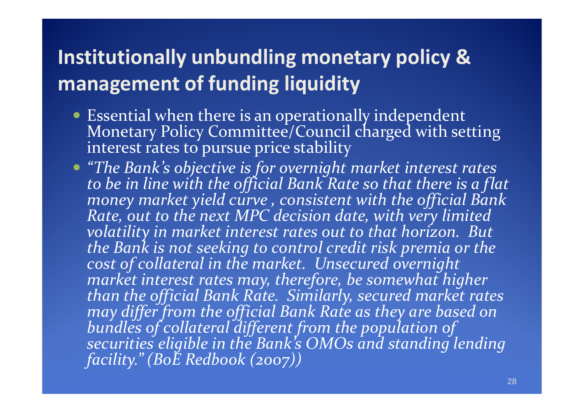### **Institutionally unbundling monetary policy & management of funding liquidity**

- Essential when there is an operationally independent Monetary Policy Committee/Council charged with setting<br>interest rates to pursue price stability
- $\bullet$  "The Bank's objective is for overnight money market yield curve, consistent with the official Bank<br>Rate, out to the next MPC decision date, with very limited<br>volatility in market interest rates out to that horizon. But<br>the Bank is not seeking to control credit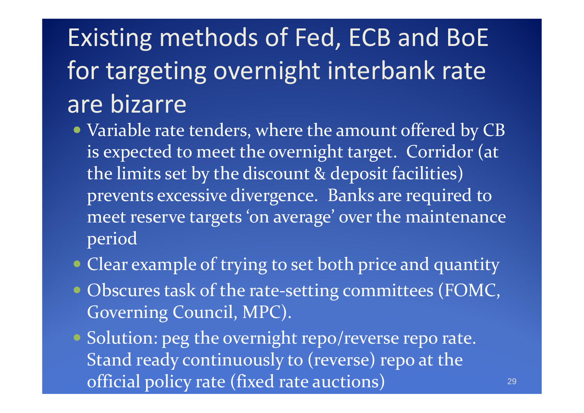## Existing methods of Fed, ECB and BoE for targeting overnight interbank rate are bizarre

- Variable rate tenders, where the amount offered by CB is expected to meet the overnight target. Corridor (at the limits set by the discount & deposit facilities) prevents excessive divergence. Banks are required to meet reserve targets 'on average' over the maintenance period
- Clear example of trying to set both price and quantity
- Obscures task of the rate-setting committees (FOMC, Governing Council, MPC).
- Solution: peg the overnight repo/reverse repo rate. Stand ready continuously to (reverse) repo at the official policy rate (fixed rate auctions)en de la component de la component de la component de la component de la component de la component de la compo<br>La component de la component de la component de la component de la component de la component de la component d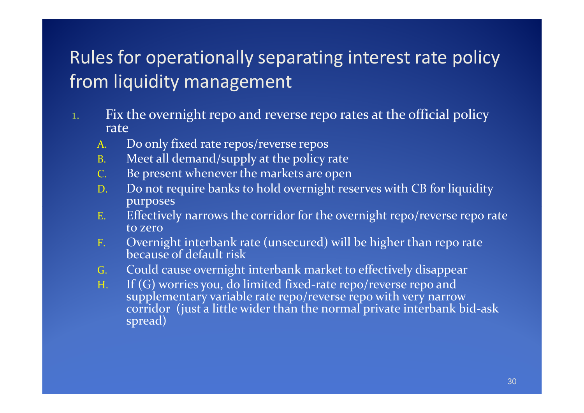### Rules for operationally separating interest rate policy from liquidity management

- 1. Fix the overnight repo and reverse repo rates at the official policy rate
	- A.Do only fixed rate repos/reverse repos
	- Meet all demand/supply at the policy rateB.
	- Be present whenever the markets are openC.
	- Do not require banks to hold overnight reserves with CB for liquidity D.purposes
	- Effectively narrows the corridor for the overnight repo/reverse repo rate E.to zero
	- Overnight interbank rate (unsecured) will be higher than repo rate because of default riskF.
	- Could cause overnight interbank market to effectively disappearG.
	- H.If (G) worries you, do limited fixed-rate repo/reverse repo and supplementary variable rate repo/reverse repo with very narrow corridor (just a little wider than the normal private interbank bid-ask spread)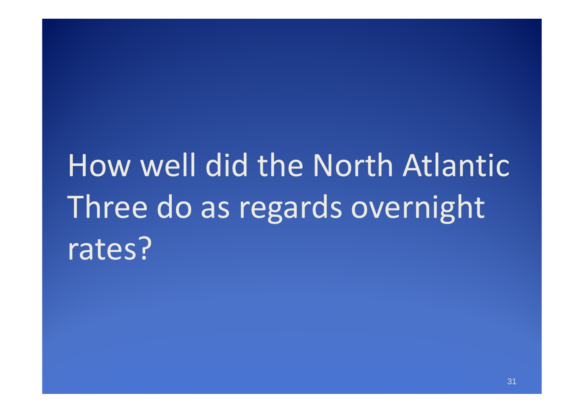# How well did the North Atlantic Three do as regards overnight rates?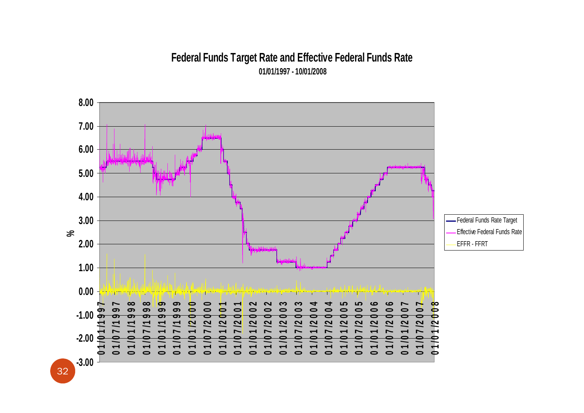#### **Federal Funds Target Rate and Effective Federal Funds Rate 01/01/1997 - 10/01/2008**

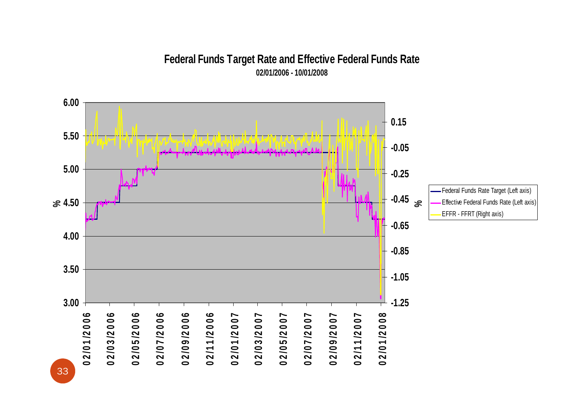#### **Federal Funds Target Rate and Effective Federal Funds Rate 02/01/2006 - 10/01/2008**

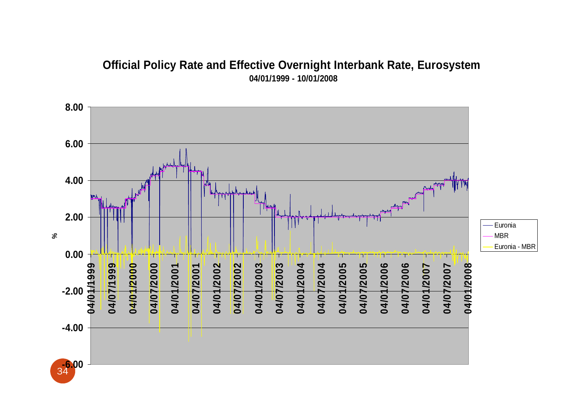#### **8.006.004.002.00**EuroniaMBR**%** Euronia - MBR**0.00**04/07/2000 04/01/2002 04/07/2002 04/01/2003 04/07/2003 04/07/1999 04/01/2000 04/07/2001 04/01/2004 04/07/2004 04/01/2005 04/07/2005 04/01/2006 04/07/2006 04/07/2007 04/01/2008 **04/01/1999** <u>ფ</u> **04/07/1999 04/01/2000 04/07/2000** 04/01/2001 **04/01/2003 04/07/2003 04/01/2004 04/07/2004 04/01/2005 04/07/2005 04/01/2006 04/07/2006** 04/01/2007 **04/01/2007 04/07/2007 04/01/2008 04/01/2002 04/07/2002 04/01/2001 04/07/2001 -2.00**4/01 **-4.00**

#### **Official Policy Rate and Effective Overnight Interbank Rate, Eurosystem 04/01/1999 - 10/01/2008**

<sup>34</sup>**-6.00**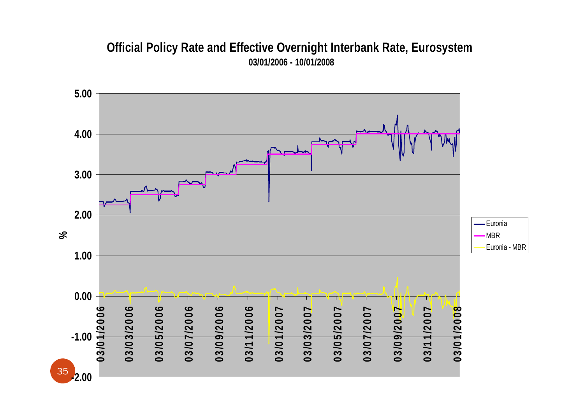#### **Official Policy Rate and Effective Overnight Interbank Rate, Eurosystem 03/01/2006 - 10/01/2008**

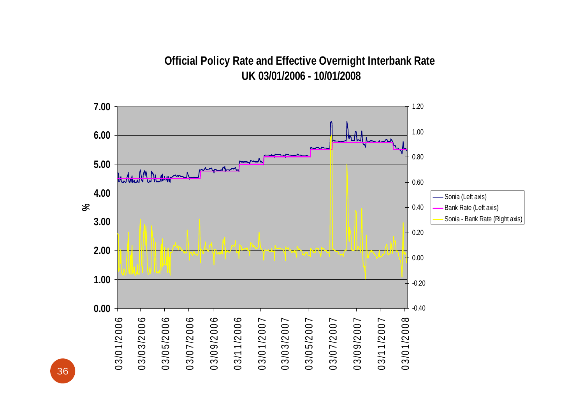**Official Policy Rate and Effective Overnight Interbank Rate UK 03/01/2006 - 10/01/2008**

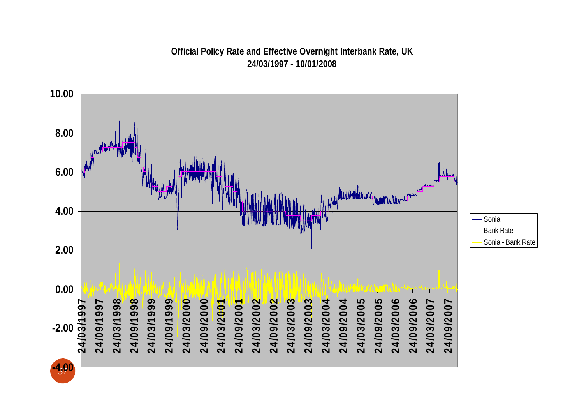#### **Official Policy Rate and Effective Overnight Interbank Rate, UK24/03/1997 - 10/01/2008**

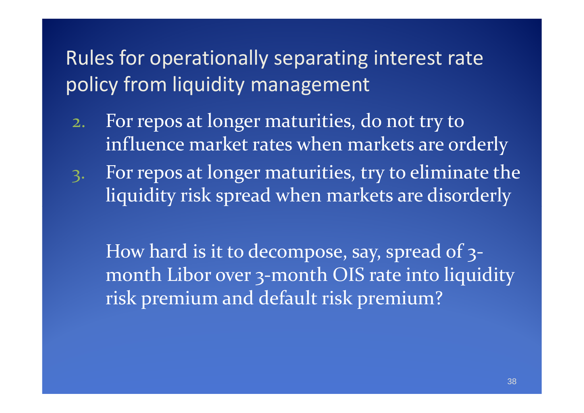### Rules for operationally separating interest rate policy from liquidity management

- 2. For repos at longer maturities, do not try to influence market rates when markets are orderly
- 3. For repos at longer maturities, try to eliminate the liquidity risk spread when markets are disorderly

How hard is it to decompose, say, spread of 3 month Libor over 3-month OIS rate into liquidity risk premium and default risk premium?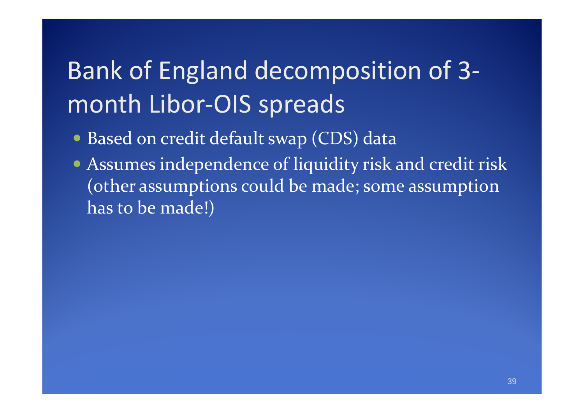## Bank of England decomposition of 3month Libor-OIS spreads

- Based on credit default swap (CDS) data
- Assumes independence of liquidity risk and credit risk (other assumptions could be made; some assumption has to be made!)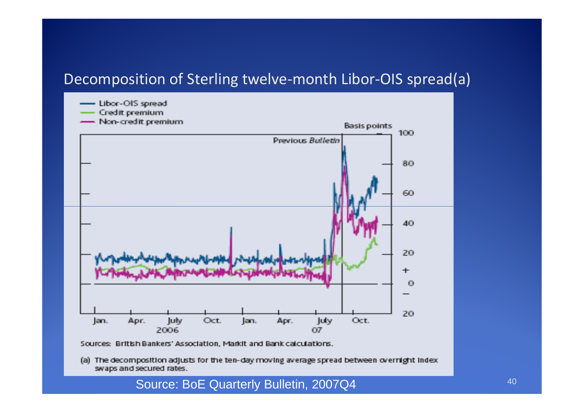#### Decomposition of Sterling twelve-month Libor-OIS spread(a)



(a) The decomposition adjusts for the ten-day moving average spread between overnight index swaps and secured rates.

Source: BoE Quarterly Bulletin, 2007Q4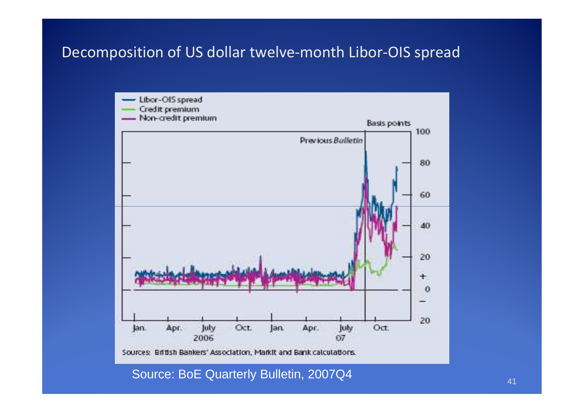#### Decomposition of US dollar twelve-month Libor-OIS spread



Source: BoE Quarterly Bulletin, 2007Q4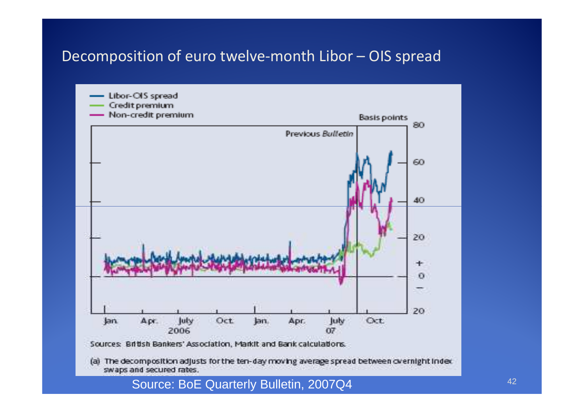#### Decomposition of euro twelve-month Libor – OIS sprea d

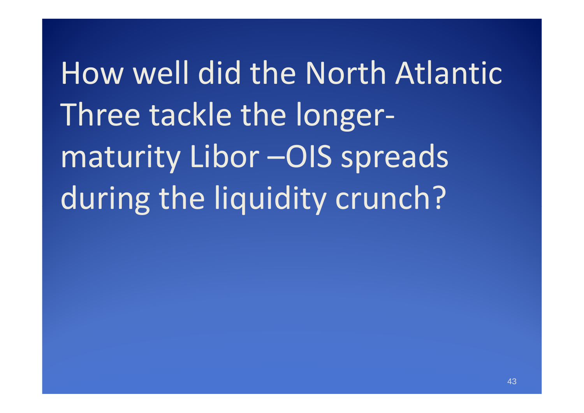How well did the North Atlantic Three tackle the longermaturity Libor –OIS spreads during the liquidity crunch?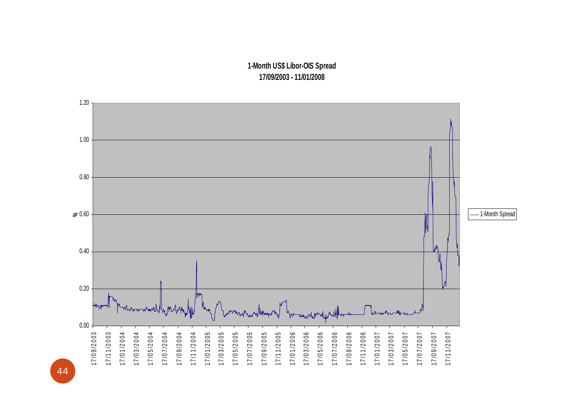**1-Month US\$ Libor-OIS Spread 17/09/2003 - 11/01/2008**

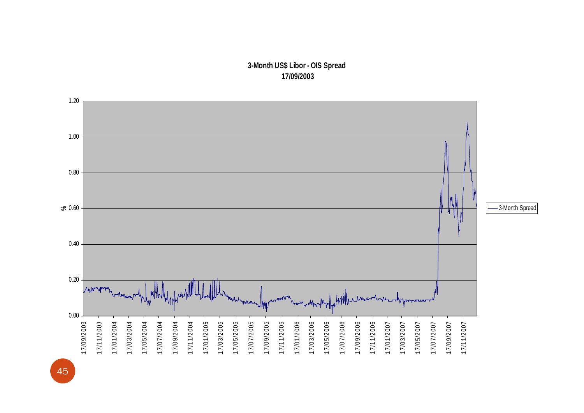#### **3-Month US\$ Libor - OIS Spread 17/09/2003**

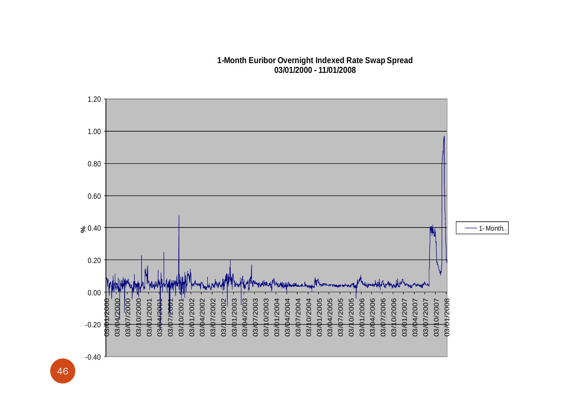#### **1-Month Euribor Overnight Indexed Rate Swap Spread03/01/2000 - 11/01/2008**

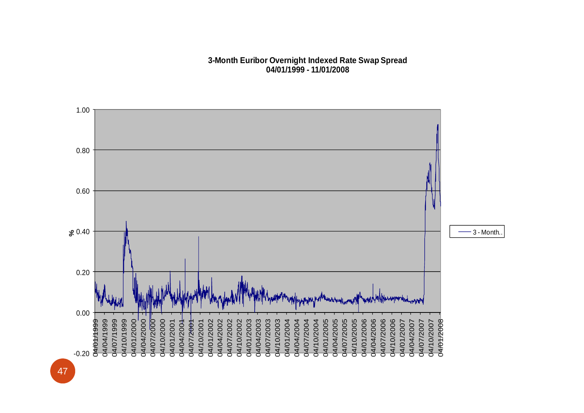#### **3-Month Euribor Overnight Indexed Rate Swap Spread04/01/1999 - 11/01/2008**

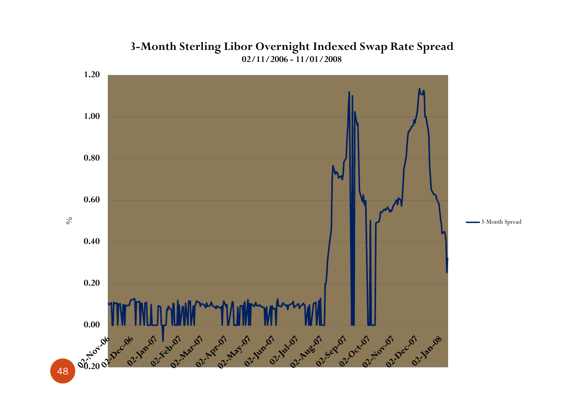

#### **3-Month Sterling Libor Overnight Indexed Swap Rate Spread02/11/2006 - 11/01/2008**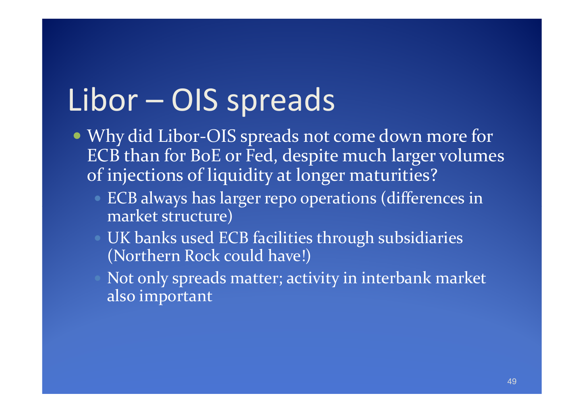# Libor – OIS spreads

- Why did Libor-OIS spreads not come down more for ECB than for BoE or Fed, despite much larger volumes of injections of liquidity at longer maturities?
	- ECB always has larger repo operations (differences in market structure)
	- UK banks used ECB facilities through subsidiaries (Northern Rock could have!)
	- Not only spreads matter; activity in interbank market also important